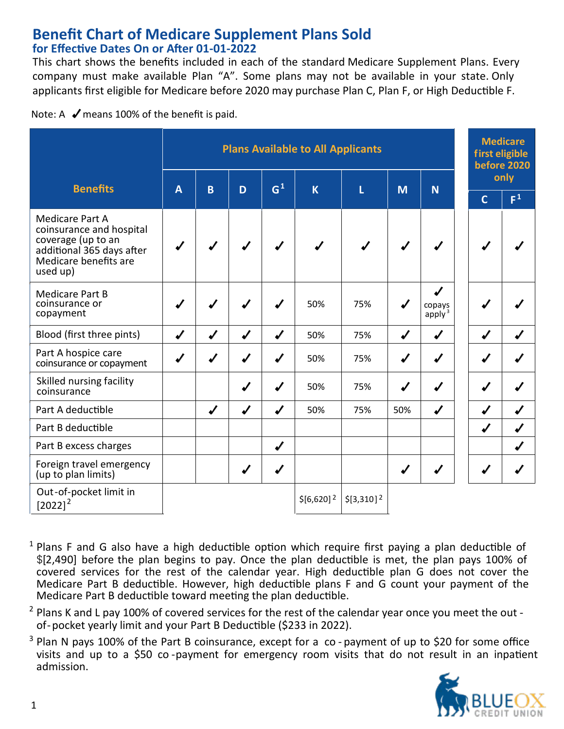#### **Benefit Chart of Medicare Supplement Plans Sold for Effec�ve Dates On or A�er 01-01-2022**

This chart shows the benefits included in each of the standard Medicare Supplement Plans. Every company must make available Plan "A". Some plans may not be available in your state. Only applicants first eligible for Medicare before 2020 may purchase Plan C, Plan F, or High Deductible F.

Note: A  $\blacktriangledown$  means 100% of the benefit is paid.

|                                                                                                                                            | <b>Plans Available to All Applicants</b> |                  |                  |                  |                         |                |                  | <b>Medicare</b><br>first eligible<br>before 2020 |   |             |                  |      |  |  |
|--------------------------------------------------------------------------------------------------------------------------------------------|------------------------------------------|------------------|------------------|------------------|-------------------------|----------------|------------------|--------------------------------------------------|---|-------------|------------------|------|--|--|
| <b>Benefits</b>                                                                                                                            | $\overline{A}$                           | B                | D                | G <sup>1</sup>   | K                       | Ĺ              | <b>N</b>         |                                                  | M |             |                  | only |  |  |
|                                                                                                                                            |                                          |                  |                  |                  |                         |                |                  |                                                  |   | $\mathbf C$ | F <sup>1</sup>   |      |  |  |
| <b>Medicare Part A</b><br>coinsurance and hospital<br>coverage (up to an<br>additional 365 days after<br>Medicare benefits are<br>used up) |                                          |                  |                  |                  |                         |                |                  |                                                  |   |             |                  |      |  |  |
| <b>Medicare Part B</b><br>coinsurance or<br>copayment                                                                                      |                                          |                  |                  | $\boldsymbol{v}$ | 50%                     | 75%            | $\sqrt{2}$       | ┙<br>copays<br>apply <sup>3</sup>                |   |             |                  |      |  |  |
| Blood (first three pints)                                                                                                                  | J                                        | $\boldsymbol{J}$ | $\boldsymbol{v}$ | $\boldsymbol{J}$ | 50%                     | 75%            | J                | J                                                |   | J           |                  |      |  |  |
| Part A hospice care<br>coinsurance or copayment                                                                                            | J                                        | $\sqrt{2}$       | $\sqrt{2}$       | $\boldsymbol{J}$ | 50%                     | 75%            | $\sqrt{2}$       | J                                                |   |             |                  |      |  |  |
| Skilled nursing facility<br>coinsurance                                                                                                    |                                          |                  |                  | $\sqrt{2}$       | 50%                     | 75%            | $\sqrt{2}$       | J                                                |   |             |                  |      |  |  |
| Part A deductible                                                                                                                          |                                          | J                | J                | J                | 50%                     | 75%            | 50%              | J                                                |   | J           |                  |      |  |  |
| Part B deductible                                                                                                                          |                                          |                  |                  |                  |                         |                |                  |                                                  |   | J           | $\boldsymbol{v}$ |      |  |  |
| Part B excess charges                                                                                                                      |                                          |                  |                  | $\boldsymbol{v}$ |                         |                |                  |                                                  |   |             |                  |      |  |  |
| Foreign travel emergency<br>(up to plan limits)                                                                                            |                                          |                  |                  | ✔                |                         |                | $\boldsymbol{N}$ |                                                  |   |             |                  |      |  |  |
| Out-of-pocket limit in<br>$[2022]^{2}$                                                                                                     |                                          |                  |                  |                  | $$[6,620]$ <sup>2</sup> | $$[3,310]^{2}$ |                  |                                                  |   |             |                  |      |  |  |

- $1$  Plans F and G also have a high deductible option which require first paying a plan deductible of \$[2,490] before the plan begins to pay. Once the plan deductible is met, the plan pays 100% of covered services for the rest of the calendar year. High deductible plan G does not cover the Medicare Part B deductible. However, high deductible plans F and G count your payment of the Medicare Part B deductible toward meeting the plan deductible.
- $2$  Plans K and L pay 100% of covered services for the rest of the calendar year once you meet the out of-pocket yearly limit and your Part B Deduc�ble (\$233 in 2022).
- <sup>3</sup> Plan N pays 100% of the Part B coinsurance, except for a co-payment of up to \$20 for some office visits and up to a \$50 co-payment for emergency room visits that do not result in an inpatient admission.

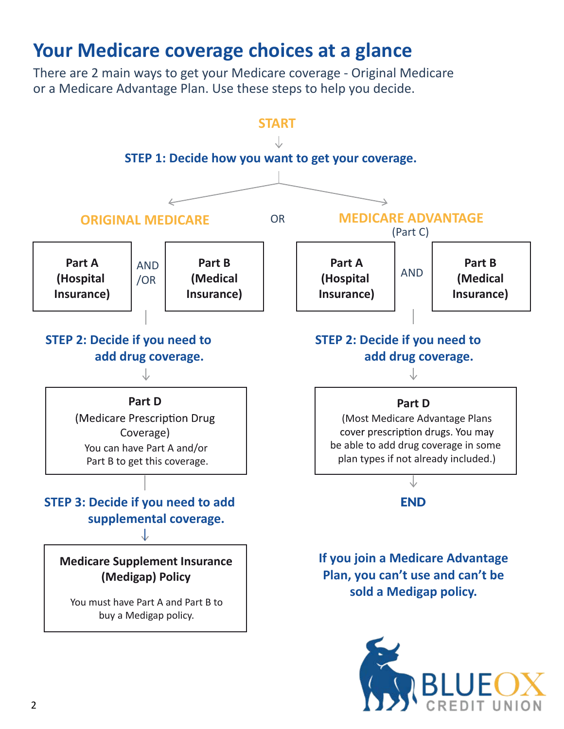## **Your Medicare coverage choices at a glance**

There are 2 main ways to get your Medicare coverage - Original Medicare or a Medicare Advantage Plan. Use these steps to help you decide.